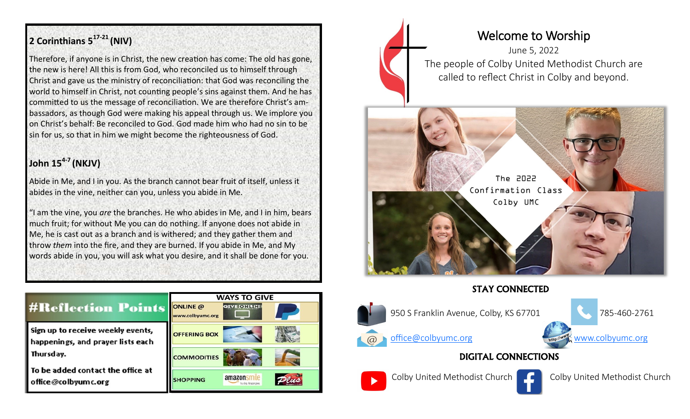## **2 Corinthians 5<sup>17</sup>-<sup>21</sup>(NIV)**

Therefore, if anyone is in Christ, the new creation has come: The old has gone, the new is here! All this is from God, who reconciled us to himself through Christ and gave us the ministry of reconciliation: that God was reconciling the world to himself in Christ, not counting people's sins against them. And he has committed to us the message of reconciliation. We are therefore Christ's ambassadors, as though God were making his appeal through us. We implore you on Christ's behalf: Be reconciled to God. God made him who had no sin to be sin for us, so that in him we might become the righteousness of God.

### **John 15<sup>4</sup>-<sup>7</sup>(NKJV)**

Abide in Me, and I in you. As the branch cannot bear fruit of itself, unless it abides in the vine, neither can you, unless you abide in Me.

"I am the vine, you *are* the branches. He who abides in Me, and I in him, bears much fruit; for without Me you can do nothing. If anyone does not abide in Me, he is cast out as a branch and is withered; and they gather them and throw *them* into the fire, and they are burned. If you abide in Me, and My words abide in you, you will ask what you desire, and it shall be done for you.

|                                                                        | <b>WAYS TO GIVE</b>          |  |
|------------------------------------------------------------------------|------------------------------|--|
| <b>#Reflection Points</b>                                              | ONLINE @<br>www.colbyumc.org |  |
| Sign up to receive weekly events,<br>happenings, and prayer lists each | <b>OFFERING BOX</b>          |  |
| Thursday.<br>To be added contact the office at<br>ffice@colbyumc.org   | <b>COMMODITIES</b>           |  |
|                                                                        | amazon<br><b>SHOPPING</b>    |  |

# Welcome to Worship

June 5, 2022 The people of Colby United Methodist Church are called to reflect Christ in Colby and beyond.



STAY CONNECTED